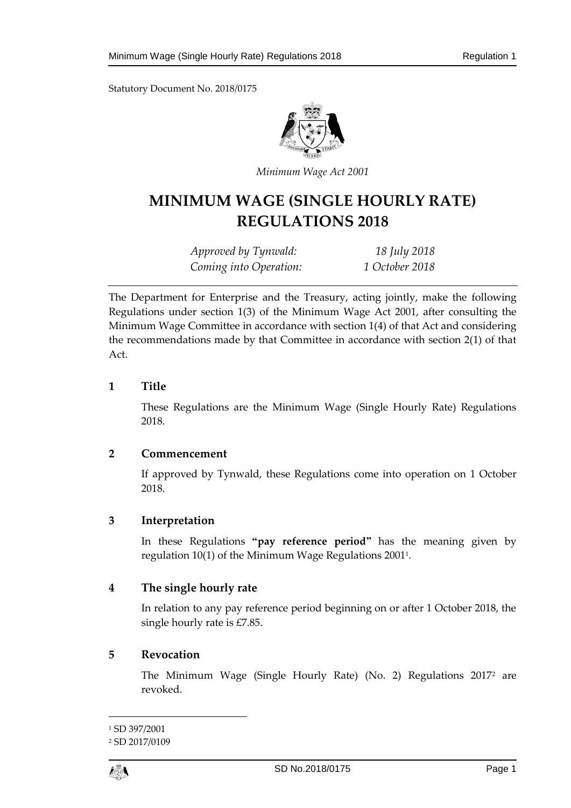

*Minimum Wage Act 2001*

# **MINIMUM WAGE (SINGLE HOURLY RATE) REGULATIONS 2018**

*Approved by Tynwald: 18 July 2018 Coming into Operation: 1 October 2018*

The Department for Enterprise and the Treasury, acting jointly, make the following Regulations under section 1(3) of the Minimum Wage Act 2001, after consulting the Minimum Wage Committee in accordance with section 1(4) of that Act and considering the recommendations made by that Committee in accordance with section 2(1) of that Act.

### **1 Title**

These Regulations are the Minimum Wage (Single Hourly Rate) Regulations 2018.

#### **2 Commencement**

If approved by Tynwald, these Regulations come into operation on 1 October 2018.

# **3 Interpretation**

In these Regulations **"pay reference period"** has the meaning given by regulation 10(1) of the Minimum Wage Regulations 2001<sup>1</sup> .

# **4 The single hourly rate**

In relation to any pay reference period beginning on or after 1 October 2018, the single hourly rate is £7.85.

# **5 Revocation**

The Minimum Wage (Single Hourly Rate) (No. 2) Regulations 2017<sup>2</sup> are revoked.

 $\overline{a}$ 

<sup>1</sup> SD 397/2001

<sup>2</sup> SD 2017/0109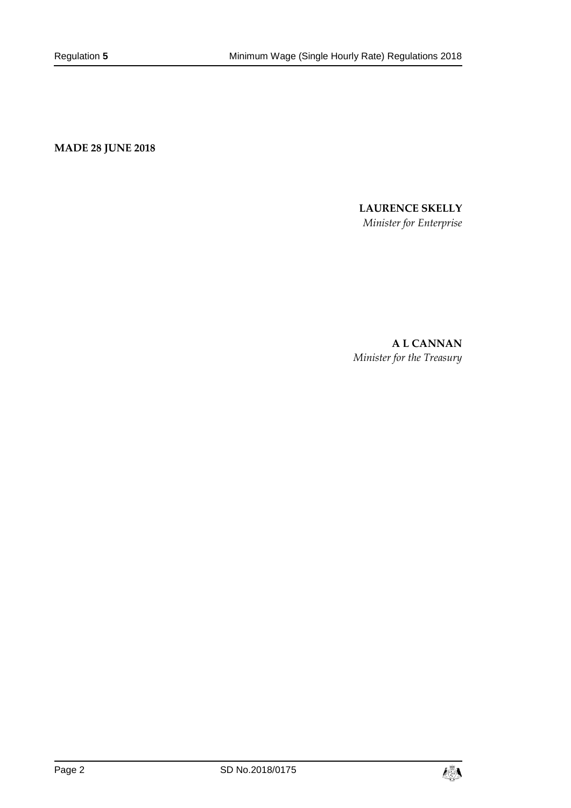**MADE 28 JUNE 2018**

#### **LAURENCE SKELLY**

*Minister for Enterprise*

**A L CANNAN** *Minister for the Treasury*